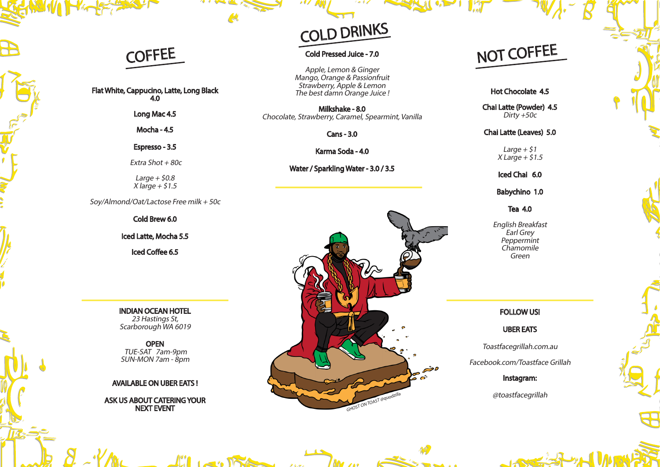### COFFEE

Flat White, Cappucino, Latte, Long Black 4.0

Long Mac 4.5 Mocha - 4.5

Espresso - 3.5

Extra Shot  $+80c$ 

Large  $+$  \$0.8  $X$  large  $+$  \$1.5

Soy/Almond/Oat/Lactose Free milk + 50c

Cold Brew 6.0

Iced Latte, Mocha 5.5

Iced Coffee 6.5

INDIAN OCEAN HOTEL 23 Hastings St, Scarborough WA 6019

**OPEN**  TUE-SAT 7am-9pm SUN-MON 7am - 8pm

#### AVAILABLE ON UBER EATS !

ASK US ABOUT CATERING YOUR NEXT EVENT

 $\left| \right|$   $\left| \right|$ 

# COLD DRINKS

#### Cold Pressed Juice - 7.0

Apple, Lemon & Ginger Mango, Orange & Passionfruit Strawberry, Apple & Lemon The best damn Orange Juice !

Milkshake - 8.0 Chocolate, Strawberry, Caramel, Spearmint, Vanilla

Cans - 3.0

Karma Soda - 4.0

Water / Sparkling Water - 3.0 / 3.5



## NOT COFFEE

Hot Chocolate 4.5

Chai Latte (Powder) 4.5 Dirty  $+50c$ 

Chai Latte (Leaves) 5.0

Large  $+$  \$1  $X$  Large + \$1.5

Iced Chai 6.0

Babychino 1.0

Tea 4.0

English Breakfast Earl Grey **Peppermint Chamomile** Green

#### FOLLOW US!

UBER EATS

Toastfacegrillah.com.au

Facebook.com/Toastface Grillah

Instagram:

@toastfacegrillah